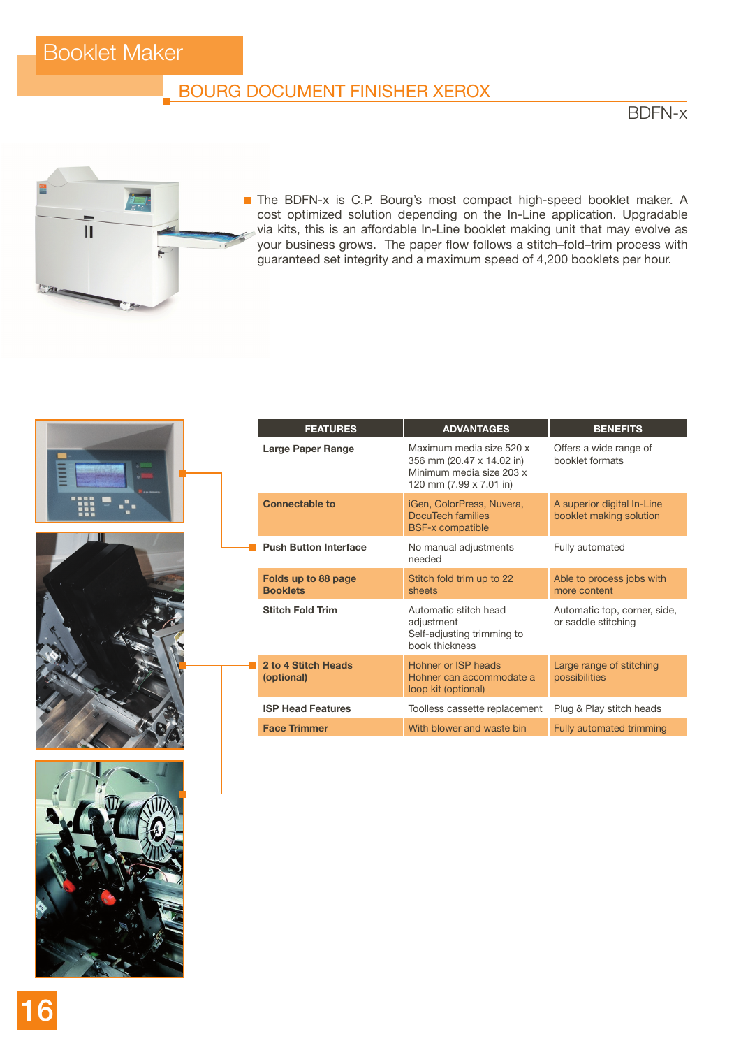## Booklet Maker

#### BOURG DOCUMENT FINISHER XEROX

BDFN-x



The BDFN-x is C.P. Bourg's most compact high-speed booklet maker. A cost optimized solution depending on the In-Line application. Upgradable via kits, this is an affordable In-Line booklet making unit that may evolve as your business grows. The paper flow follows a stitch–fold–trim process with guaranteed set integrity and a maximum speed of 4,200 booklets per hour.







|  | <b>FEATURES</b>                        | <b>ADVANTAGES</b>                                                                                            | <b>BENEFITS</b>                                       |
|--|----------------------------------------|--------------------------------------------------------------------------------------------------------------|-------------------------------------------------------|
|  | Large Paper Range                      | Maximum media size 520 x<br>356 mm (20.47 x 14.02 in)<br>Minimum media size 203 x<br>120 mm (7.99 x 7.01 in) | Offers a wide range of<br>booklet formats             |
|  | <b>Connectable to</b>                  | iGen, ColorPress, Nuvera,<br>DocuTech families<br><b>BSF-x compatible</b>                                    | A superior digital In-Line<br>booklet making solution |
|  | <b>Push Button Interface</b>           | No manual adjustments<br>needed                                                                              | Fully automated                                       |
|  | Folds up to 88 page<br><b>Booklets</b> | Stitch fold trim up to 22<br>sheets                                                                          | Able to process jobs with<br>more content             |
|  | <b>Stitch Fold Trim</b>                | Automatic stitch head<br>adjustment<br>Self-adjusting trimming to<br>book thickness                          | Automatic top, corner, side,<br>or saddle stitching   |
|  | 2 to 4 Stitch Heads<br>(optional)      | Hohner or ISP heads<br>Hohner can accommodate a<br>loop kit (optional)                                       | Large range of stitching<br>possibilities             |
|  | <b>ISP Head Features</b>               | Toolless cassette replacement                                                                                | Plug & Play stitch heads                              |
|  | <b>Face Trimmer</b>                    | With blower and waste bin                                                                                    | <b>Fully automated trimming</b>                       |